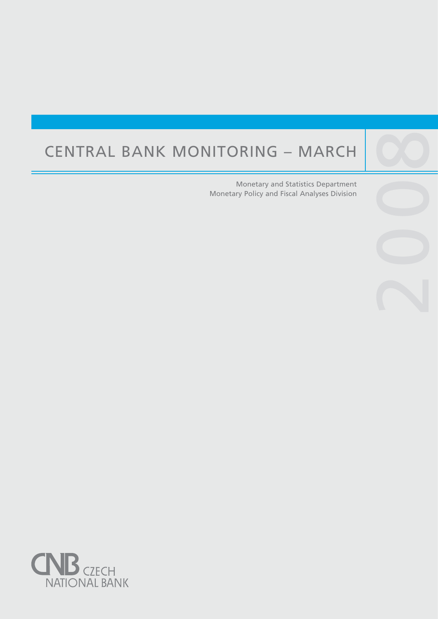# CENTRAL BANK MONITORING – MARCH

Central banks are not universities and one would

purpose, such as, to lay the ground for the satisfac-

Monetary and Statistics Department Monetary Policy and Fiscal Analyses Division

2009

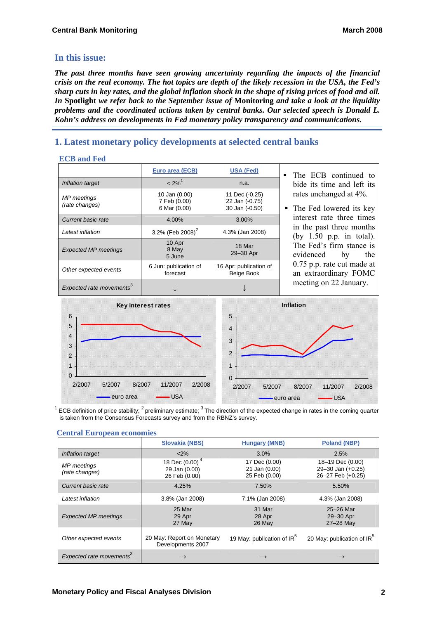# **In this issue:**

*The past three months have seen growing uncertainty regarding the impacts of the financial crisis on the real economy. The hot topics are depth of the likely recession in the USA, the Fed's sharp cuts in key rates, and the global inflation shock in the shape of rising prices of food and oil. In* **Spotlight** *we refer back to the September issue of* **Monitoring** *and take a look at the liquidity problems and the coordinated actions taken by central banks. Our selected speech is Donald L. Kohn's address on developments in Fed monetary policy transparency and communications.* 

# **1. Latest monetary policy developments at selected central banks**

## **ECB and Fed**

|                                      | Euro area (ECB)                               | <b>USA (Fed)</b>                                   | The ECB continued to<br>$\blacksquare$                 |
|--------------------------------------|-----------------------------------------------|----------------------------------------------------|--------------------------------------------------------|
| Inflation target                     | $< 2\%$ <sup>1</sup>                          | n.a.                                               | bide its time and left its                             |
| <b>MP</b> meetings<br>(rate changes) | 10 Jan (0.00)<br>7 Feb (0.00)<br>6 Mar (0.00) | 11 Dec (-0.25)<br>22 Jan (-0.75)<br>30 Jan (-0.50) | rates unchanged at 4%.<br>• The Fed lowered its key    |
| Current basic rate                   | 4.00%                                         | $3.00\%$                                           | interest rate three times                              |
| Latest inflation                     | 3.2% (Feb 2008) <sup>2</sup>                  | 4.3% (Jan 2008)                                    | in the past three months<br>(by $1.50$ p.p. in total). |
| <b>Expected MP meetings</b>          | 10 Apr<br>8 May<br>5 June                     | 18 Mar<br>29-30 Apr                                | The Fed's firm stance is<br>evidenced<br>the<br>by     |
| Other expected events                | 6 Jun: publication of<br>forecast             | 16 Apr: publication of<br>Beige Book               | 0.75 p.p. rate cut made at<br>an extraordinary FOMC    |
| Expected rate movements <sup>3</sup> |                                               |                                                    | meeting on 22 January.                                 |



 $^1$  ECB definition of price stability; <sup>2</sup> preliminary estimate; <sup>3</sup> The direction of the expected change in rates in the coming quarter is taken from the Consensus Forecasts survey and from the RBNZ's survey.

| Centrum Lui opeum economics          |                                                              |                                                 |                                                            |  |  |
|--------------------------------------|--------------------------------------------------------------|-------------------------------------------------|------------------------------------------------------------|--|--|
|                                      | <b>Slovakia (NBS)</b>                                        | <b>Hungary (MNB)</b>                            | <b>Poland (NBP)</b>                                        |  |  |
| Inflation target                     | $<$ 2%                                                       | 3.0%                                            | 2.5%                                                       |  |  |
| MP meetings<br>(rate changes)        | 18 Dec (0.00) <sup>4</sup><br>29 Jan (0.00)<br>26 Feb (0.00) | 17 Dec (0.00)<br>21 Jan (0.00)<br>25 Feb (0.00) | 18-19 Dec (0.00)<br>29-30 Jan (+0.25)<br>26-27 Feb (+0.25) |  |  |
| Current basic rate                   | 4.25%                                                        | 7.50%                                           | 5.50%                                                      |  |  |
| Latest inflation                     | 3.8% (Jan 2008)                                              | 7.1% (Jan 2008)                                 | 4.3% (Jan 2008)                                            |  |  |
| <b>Expected MP meetings</b>          | 25 Mar<br>29 Apr<br>27 May                                   | 31 Mar<br>28 Apr<br>26 May                      | 25-26 Mar<br>29-30 Apr<br>27-28 May                        |  |  |
| Other expected events                | 20 May: Report on Monetary<br>Developments 2007              | 19 May: publication of IR <sup>3</sup>          | 20 May: publication of IR <sup>5</sup>                     |  |  |
| Expected rate movements <sup>3</sup> |                                                              |                                                 |                                                            |  |  |

## **Central European economies**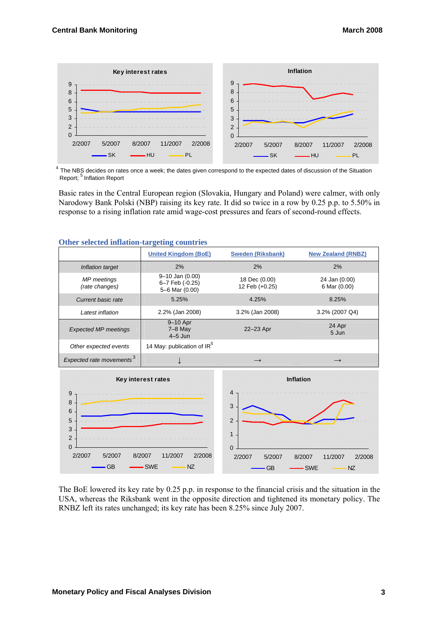

4<br>4 The NBS decides on rates once a week; the dates given correspond to the expected dates of discussion of the Situation Report; <sup>5</sup> Inflation Report

Basic rates in the Central European region (Slovakia, Hungary and Poland) were calmer, with only Narodowy Bank Polski (NBP) raising its key rate. It did so twice in a row by 0.25 p.p. to 5.50% in response to a rising inflation rate amid wage-cost pressures and fears of second-round effects.

| <b>Other selected initiation-targeting countries</b> |                                                            |                                 |                               |  |  |
|------------------------------------------------------|------------------------------------------------------------|---------------------------------|-------------------------------|--|--|
|                                                      | <b>United Kingdom (BoE)</b>                                | <b>Sweden (Riksbank)</b>        | <b>New Zealand (RNBZ)</b>     |  |  |
| Inflation target                                     | 2%                                                         | 2%                              | 2%                            |  |  |
| MP meetings<br>(rate changes)                        | $9 - 10$ Jan $(0.00)$<br>6-7 Feb (-0.25)<br>5-6 Mar (0.00) | 18 Dec (0.00)<br>12 Feb (+0.25) | 24 Jan (0.00)<br>6 Mar (0.00) |  |  |
| Current basic rate                                   | 5.25%                                                      | 4.25%                           | 8.25%                         |  |  |
| Latest inflation                                     | 2.2% (Jan 2008)                                            | 3.2% (Jan 2008)                 | 3.2% (2007 Q4)                |  |  |
| <b>Expected MP meetings</b>                          | 9-10 Apr<br>$7-8$ May<br>$4-5$ Jun                         | 22-23 Apr                       | 24 Apr<br>5 Jun               |  |  |
| Other expected events                                | 14 May: publication of IR <sup>5</sup>                     |                                 |                               |  |  |
| Expected rate movements <sup>3</sup>                 |                                                            | $\longrightarrow$               |                               |  |  |
|                                                      |                                                            |                                 |                               |  |  |

#### **Other selected inflation-targeting countries**



The BoE lowered its key rate by 0.25 p.p. in response to the financial crisis and the situation in the USA, whereas the Riksbank went in the opposite direction and tightened its monetary policy. The RNBZ left its rates unchanged; its key rate has been 8.25% since July 2007.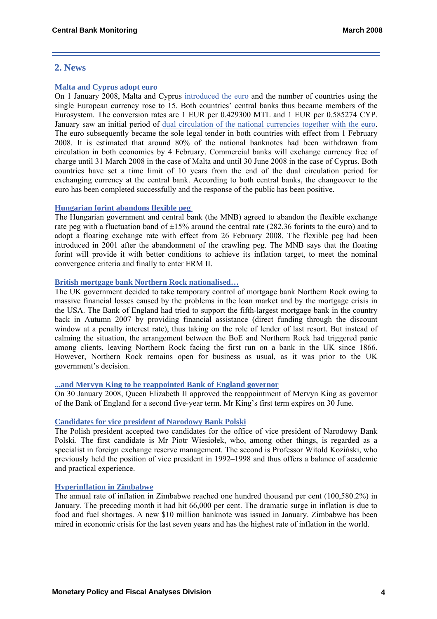## **2. News**

## **[Malta and Cyprus adopt euro](http://www.ecb.int/press/pr/date/2008/html/pr080204.en.html)**

On 1 January 2008, Malta and Cyprus [introduced the euro](http://www.ecb.int/press/pr/date/2008/html/pr080101.en.html) and the number of countries using the single European currency rose to 15. Both countries' central banks thus became members of the Eurosystem. The conversion rates are 1 EUR per 0.429300 MTL and 1 EUR per 0.585274 CYP. January saw an initial period of [dual circulation of the national currencies together with the euro](http://www.ecb.int/press/pr/date/2008/html/pr080103.en.html). The euro subsequently became the sole legal tender in both countries with effect from 1 February 2008. It is estimated that around 80% of the national banknotes had been withdrawn from circulation in both economies by 4 February. Commercial banks will exchange currency free of charge until 31 March 2008 in the case of Malta and until 30 June 2008 in the case of Cyprus. Both countries have set a time limit of 10 years from the end of the dual circulation period for exchanging currency at the central bank. According to both central banks, the changeover to the euro has been completed successfully and the response of the public has been positive.

## **[Hungarian forint abandons flexible peg](http://english.mnb.hu/Engine.aspx?page=mnben_monet_kozlem&ContentID=10750)**

The Hungarian government and central bank (the MNB) agreed to abandon the flexible exchange rate peg with a fluctuation band of  $\pm 15\%$  around the central rate (282.36 forints to the euro) and to adopt a floating exchange rate with effect from 26 February 2008. The flexible peg had been introduced in 2001 after the abandonment of the crawling peg. The MNB says that the floating forint will provide it with better conditions to achieve its inflation target, to meet the nominal convergence criteria and finally to enter ERM II.

## **[British mortgage bank Northern Rock nationalised…](http://www.bankofengland.co.uk/publications/northernrock/index.htm)**

The UK government decided to take temporary control of mortgage bank Northern Rock owing to massive financial losses caused by the problems in the loan market and by the mortgage crisis in the USA. The Bank of England had tried to support the fifth-largest mortgage bank in the country back in Autumn 2007 by providing financial assistance (direct funding through the discount window at a penalty interest rate), thus taking on the role of lender of last resort. But instead of calming the situation, the arrangement between the BoE and Northern Rock had triggered panic among clients, leaving Northern Rock facing the first run on a bank in the UK since 1866. However, Northern Rock remains open for business as usual, as it was prior to the UK government's decision.

## **[...and Mervyn King to be reappointed Bank of England governor](http://ekonomika.ihned.cz/c1-22857590-mervyn-king-zustava-guvernerem-bank-of-england)**

On 30 January 2008, Queen Elizabeth II approved the reappointment of Mervyn King as governor of the Bank of England for a second five-year term. Mr King's first term expires on 30 June.

## **[Candidates for vice president of Narodowy Bank Polski](http://www.nbp.pl/)**

The Polish president accepted two candidates for the office of vice president of Narodowy Bank Polski. The first candidate is Mr Piotr Wiesiołek, who, among other things, is regarded as a specialist in foreign exchange reserve management. The second is Professor Witold Koziński, who previously held the position of vice president in 1992–1998 and thus offers a balance of academic and practical experience.

## **[Hyperinflation in Zimbabwe](http://www.rbz.co.zw/about/inflation.asp)**

The annual rate of inflation in Zimbabwe reached one hundred thousand per cent (100,580.2%) in January. The preceding month it had hit 66,000 per cent. The dramatic surge in inflation is due to food and fuel shortages. A new \$10 million banknote was issued in January. Zimbabwe has been mired in economic crisis for the last seven years and has the highest rate of inflation in the world.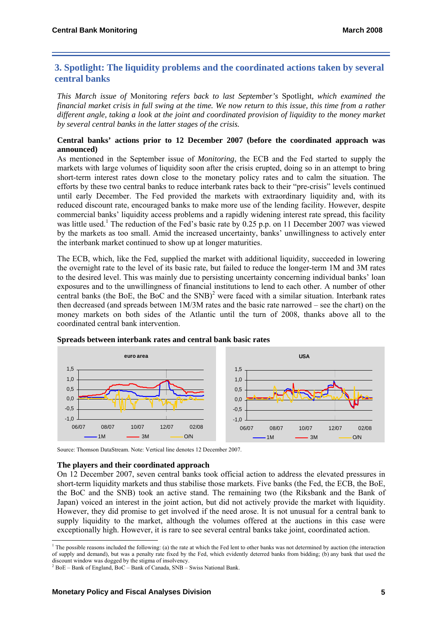## **3. Spotlight: The liquidity problems and the coordinated actions taken by several central banks**

*This March issue of* Monitoring *refers back to last September's* Spotlight*, which examined the financial market crisis in full swing at the time. We now return to this issue, this time from a rather different angle, taking a look at the joint and coordinated provision of liquidity to the money market by several cent[ra](#page-4-0)l banks in the latter stages of the crisis.* 

## **Central banks' actions prior to 12 December 2007 (before the coordinated approach was announced)**

As mentioned in the September issue of *Monitoring*, the ECB and the Fed started to supply the markets with large volumes of liquidity soon after the crisis erupted, doing so in an attempt to bring short-term interest rates down close to the monetary policy rates and to calm the situation. The efforts by these two central banks to reduce interbank rates back to their "pre-crisis" levels continued until early December. The Fed provided the markets with extraordinary liquidity and, with its reduced discount rate, encouraged banks to ma[ke](#page-4-1) more use of the lending facility. However, despite commercial banks' liquidity access problems and a rapidly widening interest rate spread, this facility was little used.<sup>1</sup> The reduction of the Fed's basic rate by 0.25 p.p. on 11 December 2007 was viewed by the markets as too small. Amid the increased uncertainty, banks' unwillingness to actively enter the interbank market continued to show up at longer maturities.

The ECB, which, like the Fed, supplied the market with additional liquidity, succeeded in lowering the overnight rate to the level of its basic rate, but failed to reduce the longer-term 1M and 3M rates to the desired level. This was mainly due to persisting uncertainty concerning individual banks' loan exposures and to the unwillingness of financial institutions to lend to each other. A number of other central banks (the BoE, the BoC and the  $SNB$ )<sup>2</sup> were faced with a similar situation. Interbank rates then decreased (and spreads between 1M/3M rates and the basic rate narrowed – see the chart) on the money markets on both sides of the Atlantic until the turn of 2008, thanks above all to the coordinated central bank intervention.



**Spreads between interbank rates and central bank basic rates**

Source: Thomson DataStream. Note: Vertical line denotes 12 December 2007.

## **The players and their coordinated approach**

On 12 December 2007, seven central banks took official action to address the elevated pressures in short-term liquidity markets and thus stabilise those markets. Five banks (the Fed, the ECB, the BoE, the BoC and the SNB) took an active stand. The remaining two (the Riksbank and the Bank of Japan) voiced an interest in the joint action, but did not actively provide the market with liquidity. However, they did promise to get involved if the need arose. It is not unusual for a central bank to supply liquidity to the market, although the volumes offered at the auctions in this case were exceptionally high. However, it is rare to see several central banks take joint, coordinated action.

<span id="page-4-0"></span> $\frac{1}{1}$  $<sup>1</sup>$  The possible reasons included the following: (a) the rate at which the Fed lent to other banks was not determined by auction (the interaction</sup> of supply and demand), but was a penalty rate fixed by the Fed, which evidently deterred banks from bidding; (b) any bank that used the discount window was dogged by the stigma of insolvency.

<span id="page-4-1"></span> $^{2}$  BoE – Bank of England, BoC – Bank of Canada, SNB – Swiss National Bank.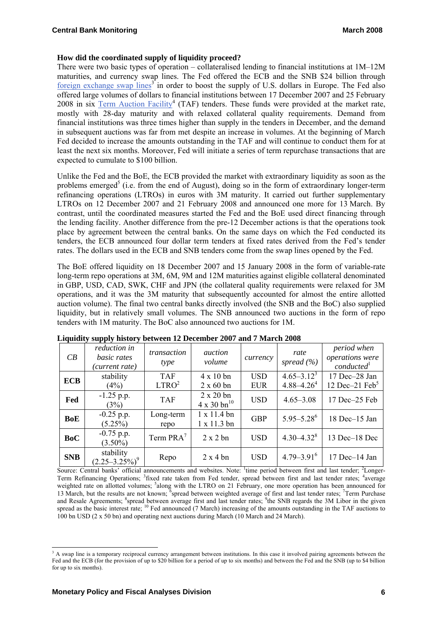## **How did the coordinated supply of liquidity proceed?**

There were two basic types of operation – collateralised lending to financial institutions at 1M–12M maturities, and currency swap lines. The Fed offered the ECB and the SNB \$24 billion through [foreign exchange swap lines](http://www.federalreserve.gov/newsevents/press/monetary/20071212a.htm)<sup>3</sup> in order to boost the supply of U.S. dollars in Europe. The Fed also offered large volumes of dollars to financial institutions between 17 December 2007 and 25 February 2008 in six  $Term Auction Facility<sup>4</sup> (TAF) tends. These funds were provided at the market rate,$ </u> mostly with 28-day maturity and with relaxed collateral quality requirements. Demand from financial institutions was three times higher than supply in the tenders in December, and the demand in subsequent auct[io](#page-5-0)ns was far from met despite an increase in volumes. At the beginning of March Fed decided to increase the amounts outstanding in the TAF and will continue to conduct them for at least the next six months. Moreover, Fed will initiate a series of term repurchase transactions that are expected to cumulate to \$100 billion.

Unlike the Fed and the BoE, the ECB provided the market with extraordinary liquidity as soon as the problems emerged<sup>5</sup> (i.e. from the end of August), doing so in the form of extraordinary longer-term refinancing operations (LTROs) in euros with 3M maturity. It carried out further supplementary LTROs on 12 December 2007 and 21 February 2008 and announced one more for 13 March. By contrast, until the coordinated measures started the Fed and the BoE used direct financing through the lending facility. Another difference from the pre-12 December actions is that the operations took place by agreement between the central banks. On the same days on which the Fed conducted its tenders, the ECB announced four dollar term tenders at fixed rates derived from the Fed's tender rates. The dollars used in the ECB and SNB tenders come from the swap lines opened by the Fed.

The BoE offered liquidity on 18 December 2007 and 15 January 2008 in the form of variable-rate long-term repo operations at 3M, 6M, 9M and 12M maturities against eligible collateral denominated in GBP, USD, CAD, SWK, CHF and JPN (the collateral quality requirements were relaxed for 3M operations, and it was the 3M maturity that subsequently accounted for almost the entire allotted auction volume). The final two central banks directly involved (the SNB and the BoC) also supplied liquidity, but in relatively small volumes. The SNB announced two auctions in the form of repo tenders with 1M maturity. The BoC also announced two auctions for 1M.

| CB         | reduction in<br>basic rates<br>(current rate) | transaction<br>type             | <i>auction</i><br>volume                           | currency                 | rate<br>spread $(\% )$             | period when<br>operations were<br>conducted <sup>1</sup> |
|------------|-----------------------------------------------|---------------------------------|----------------------------------------------------|--------------------------|------------------------------------|----------------------------------------------------------|
| <b>ECB</b> | stability<br>(4%)                             | <b>TAF</b><br>LTRO <sup>2</sup> | $4 \times 10$ bn<br>$2 \times 60$ bn               | <b>USD</b><br><b>EUR</b> | $4.65 - 3.12^3$<br>$4.88 - 4.26^4$ | 17 Dec-28 Jan<br>12 Dec $-21$ Feb <sup>5</sup>           |
| Fed        | $-1.25$ p.p.<br>(3%)                          | <b>TAF</b>                      | $2 \times 20$ bn<br>$4 \times 30$ bn <sup>10</sup> | <b>USD</b>               | $4.65 - 3.08$                      | 17 Dec-25 Feb                                            |
| <b>BoE</b> | $-0.25$ p.p.<br>$(5.25\%)$                    | Long-term<br>repo               | $1 \times 11.4$ bn<br>$1 \times 11.3$ bn           | <b>GBP</b>               | $5.95 - 5.28$ <sup>6</sup>         | 18 Dec-15 Jan                                            |
| <b>BoC</b> | $-0.75$ p.p.<br>$(3.50\%)$                    | Term PRA <sup>7</sup>           | $2 \times 2$ bn                                    | <b>USD</b>               | $4.30 - 4.32$ <sup>8</sup>         | 13 Dec-18 Dec                                            |
| <b>SNB</b> | stability<br>$(2.25 - 3.25\%)^9$              | Repo                            | $2 \times 4$ bn                                    | <b>USD</b>               | $4.79 - 3.91$ <sup>6</sup>         | 17 Dec-14 Jan                                            |

**Liquidity supply history between 12 December 2007 and 7 March 2008** 

Source: Central banks' official announcements and websites. Note: <sup>1</sup>time period between first and last tender; <sup>2</sup>Longer-Term Refinancing Operations; <sup>3</sup>fixed rate taken from Fed tender, spread between first and last tender rates; <sup>4</sup>average weighted rate on allotted volumes; <sup>5</sup>along with the LTRO on 21 February, one more operation has been announced for 13 March, but the results are not known; <sup>6</sup>spread between weighted average of first and last tender rates; <sup>7</sup>Term Purchase and Resale Agreements; <sup>8</sup>spread between average first and last tender rates; <sup>9</sup>the SNB regards the 3M Libor in the given spread as the basic interest rate; <sup>10</sup> Fed announced (7 March) increasing of the amounts outstanding in the TAF auctions to 100 bn USD (2 x 50 bn) and operating next auctions during March (10 March and 24 March).

<span id="page-5-0"></span> $\frac{1}{3}$ <sup>3</sup> A swap line is a temporary reciprocal currency arrangement between institutions. In this case it involved pairing agreements between the Fed and the ECB (for the provision of up to \$20 billion for a period of up to six months) and between the Fed and the SNB (up to \$4 billion for up to six months).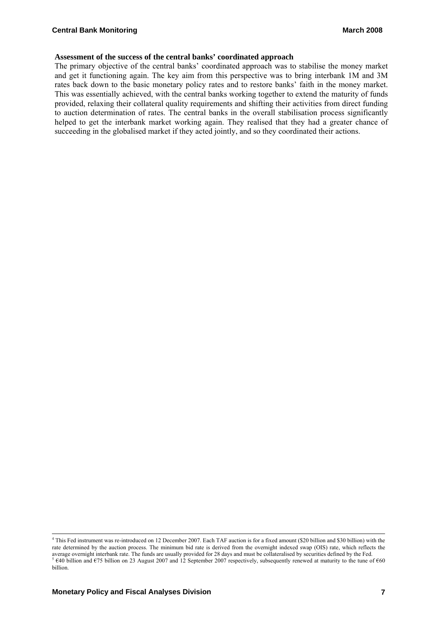#### **Assessment of the success of the central banks' coordinated approach**

The primary objective of the central banks' coordinated approach was to stabilise the money market and get it functioning again. The key aim from this perspective was to bring interbank 1M and 3M rates back down to the basic monetary policy rates and to restore banks' faith in the money market. This was essentially achieved, with the central banks working together to extend the maturity of funds provided, relaxing their collateral quality requirements and shifting their activities from direct funding to auction determination of rates. The central banks in the overall stabilisation process significantly helped to get the interbank market working again. They realised that they had a greater chance of succeeding in the globalised market if they acted jointly, and so they coordinated their actions.

 $\frac{1}{4}$  This Fed instrument was re-introduced on 12 December 2007. Each TAF auction is for a fixed amount (\$20 billion and \$30 billion) with the rate determined by the auction process. The minimum bid rate is derived from the overnight indexed swap (OIS) rate, which reflects the average overnight interbank rate. The funds are usually provided for 28 days and must be collateralised by securities defined by the Fed.<br><sup>5</sup> €40 billion and €75 billion on 23 August 2007 and 12 September 2007 respectivel billion.